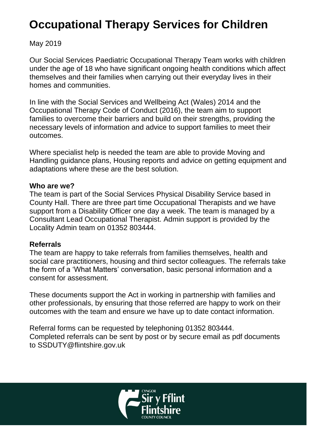# **Occupational Therapy Services for Children**

## May 2019

Our Social Services Paediatric Occupational Therapy Team works with children under the age of 18 who have significant ongoing health conditions which affect themselves and their families when carrying out their everyday lives in their homes and communities.

In line with the Social Services and Wellbeing Act (Wales) 2014 and the Occupational Therapy Code of Conduct (2016), the team aim to support families to overcome their barriers and build on their strengths, providing the necessary levels of information and advice to support families to meet their outcomes.

Where specialist help is needed the team are able to provide Moving and Handling guidance plans, Housing reports and advice on getting equipment and adaptations where these are the best solution.

#### **Who are we?**

The team is part of the Social Services Physical Disability Service based in County Hall. There are three part time Occupational Therapists and we have support from a Disability Officer one day a week. The team is managed by a Consultant Lead Occupational Therapist. Admin support is provided by the Locality Admin team on 01352 803444.

#### **Referrals**

The team are happy to take referrals from families themselves, health and social care practitioners, housing and third sector colleagues. The referrals take the form of a 'What Matters' conversation, basic personal information and a consent for assessment.

These documents support the Act in working in partnership with families and other professionals, by ensuring that those referred are happy to work on their outcomes with the team and ensure we have up to date contact information.

Referral forms can be requested by telephoning 01352 803444. Completed referrals can be sent by post or by secure email as pdf documents to SSDUTY@flintshire.gov.uk

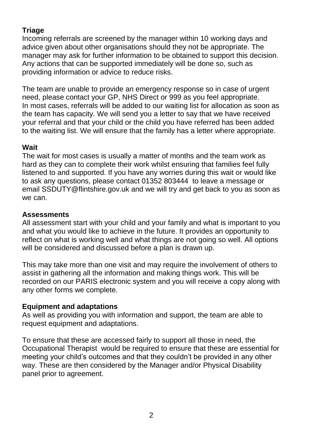# **Triage**

Incoming referrals are screened by the manager within 10 working days and advice given about other organisations should they not be appropriate. The manager may ask for further information to be obtained to support this decision. Any actions that can be supported immediately will be done so, such as providing information or advice to reduce risks.

The team are unable to provide an emergency response so in case of urgent need, please contact your GP, NHS Direct or 999 as you feel appropriate. In most cases, referrals will be added to our waiting list for allocation as soon as the team has capacity. We will send you a letter to say that we have received your referral and that your child or the child you have referred has been added to the waiting list. We will ensure that the family has a letter where appropriate.

#### **Wait**

The wait for most cases is usually a matter of months and the team work as hard as they can to complete their work whilst ensuring that families feel fully listened to and supported. If you have any worries during this wait or would like to ask any questions, please contact 01352 803444 to leave a message or email SSDUTY@flintshire.gov.uk and we will try and get back to you as soon as we can.

#### **Assessments**

All assessment start with your child and your family and what is important to you and what you would like to achieve in the future. It provides an opportunity to reflect on what is working well and what things are not going so well. All options will be considered and discussed before a plan is drawn up.

This may take more than one visit and may require the involvement of others to assist in gathering all the information and making things work. This will be recorded on our PARIS electronic system and you will receive a copy along with any other forms we complete.

## **Equipment and adaptations**

As well as providing you with information and support, the team are able to request equipment and adaptations.

To ensure that these are accessed fairly to support all those in need, the Occupational Therapist would be required to ensure that these are essential for meeting your child's outcomes and that they couldn't be provided in any other way. These are then considered by the Manager and/or Physical Disability panel prior to agreement.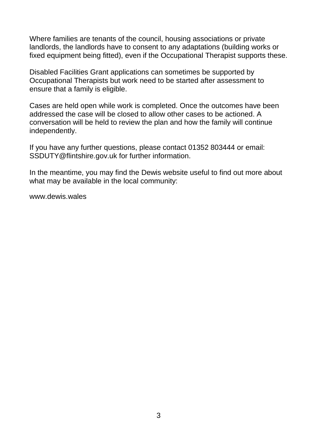Where families are tenants of the council, housing associations or private landlords, the landlords have to consent to any adaptations (building works or fixed equipment being fitted), even if the Occupational Therapist supports these.

Disabled Facilities Grant applications can sometimes be supported by Occupational Therapists but work need to be started after assessment to ensure that a family is eligible.

Cases are held open while work is completed. Once the outcomes have been addressed the case will be closed to allow other cases to be actioned. A conversation will be held to review the plan and how the family will continue independently.

If you have any further questions, please contact 01352 803444 or email: SSDUTY@flintshire.gov.uk for further information.

In the meantime, you may find the Dewis website useful to find out more about what may be available in the local community:

<www.dewis.wales>